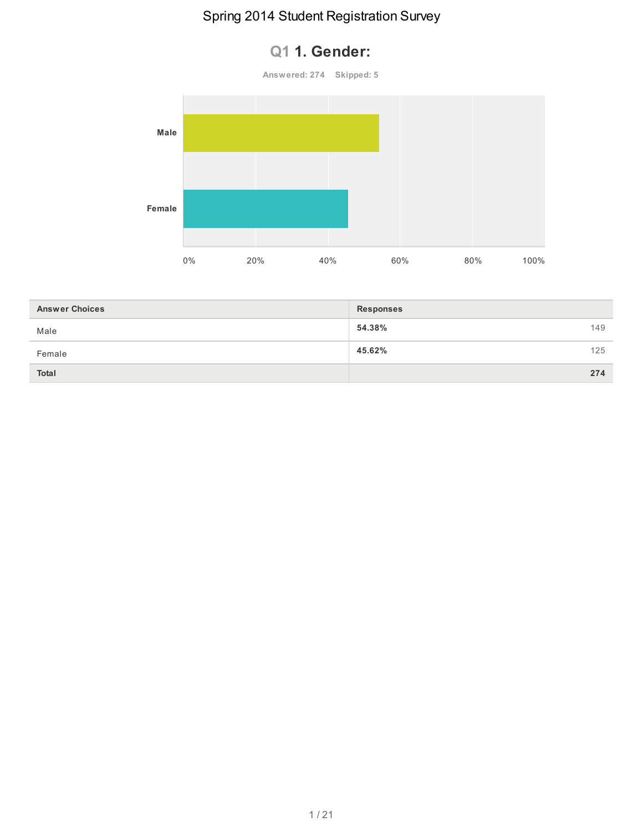#### **Q1 1. Gender:**

**Answered: 274 Skipped: 5**



| <b>Answer Choices</b> | <b>Responses</b> |     |
|-----------------------|------------------|-----|
| Male                  | 54.38%           | 149 |
| Female                | 45.62%           | 125 |
| <b>Total</b>          |                  | 274 |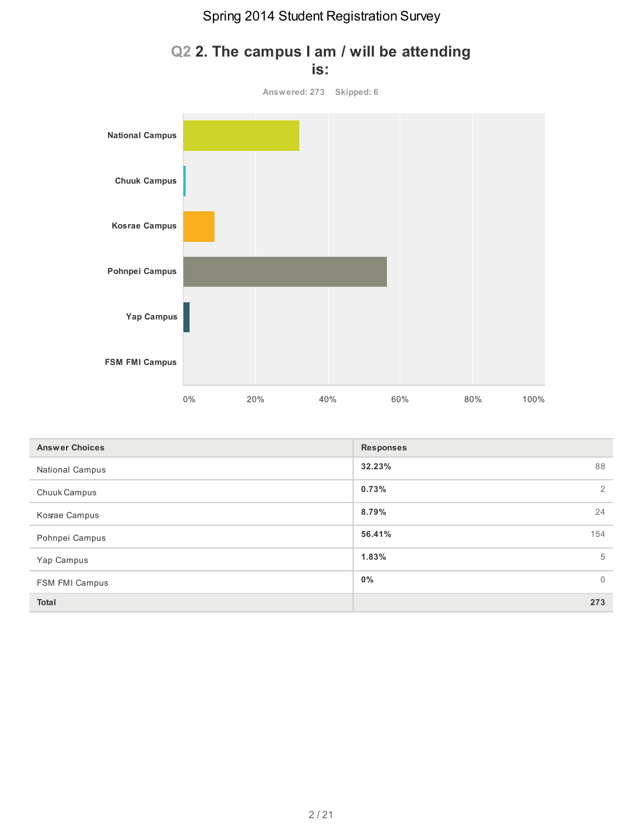

#### **Q2 2. The campus I am / will be attending is:**

| <b>Answer Choices</b>  | <b>Responses</b>        |
|------------------------|-------------------------|
| <b>National Campus</b> | 32.23%<br>88            |
| Chuuk Campus           | 0.73%<br>2              |
| Kosrae Campus          | 8.79%<br>24             |
| Pohnpei Campus         | 56.41%<br>154           |
| Yap Campus             | 1.83%<br>5              |
| FSM FMI Campus         | $0\%$<br>$\overline{0}$ |
| <b>Total</b>           | 273                     |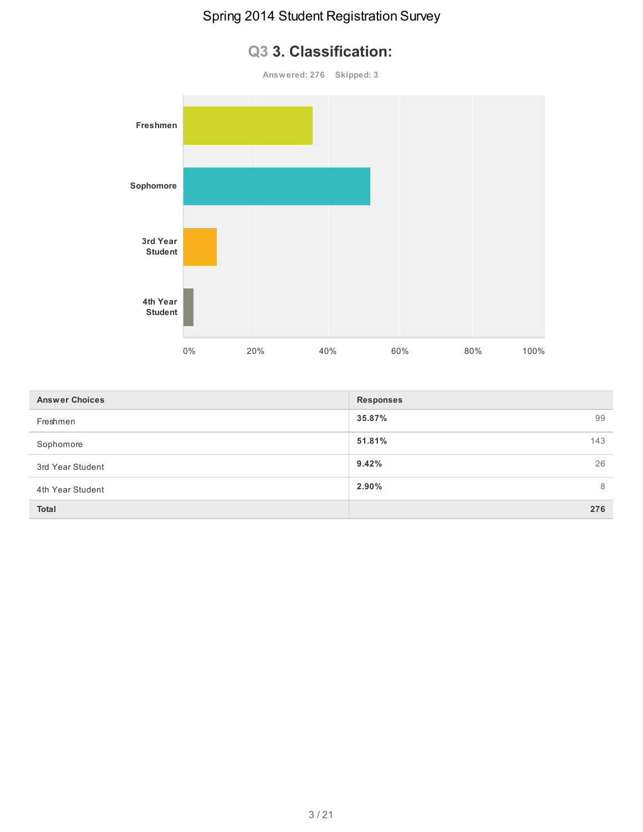# **Q3 3. Classification:**



| <b>Answer Choices</b> | <b>Responses</b> |     |
|-----------------------|------------------|-----|
| Freshmen              | 35.87%           | 99  |
| Sophomore             | 51.81%           | 143 |
| 3rd Year Student      | 9.42%            | 26  |
| 4th Year Student      | $2.90\%$         | 8   |
| <b>Total</b>          |                  | 276 |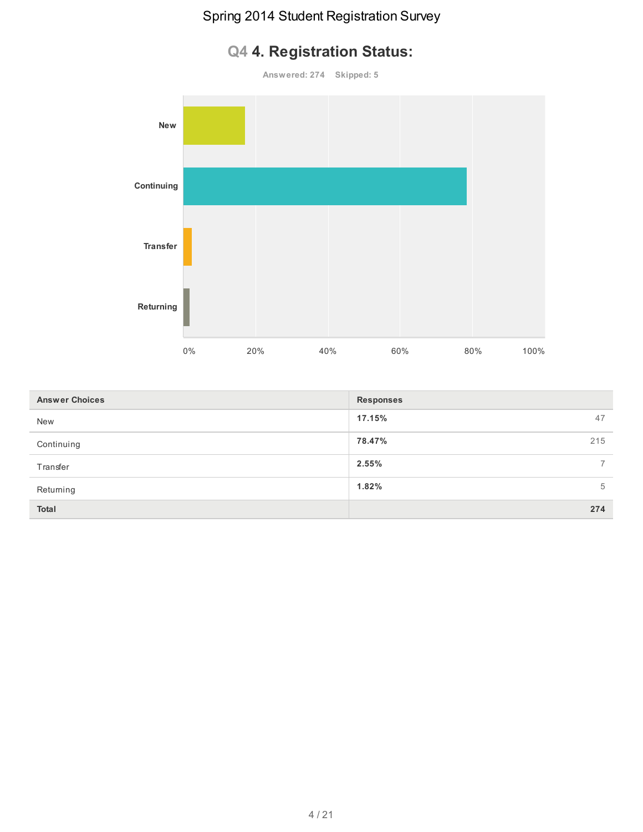# **Answered: 274 Skipped: 5 New Continuing Transfer Returning** 0% 20% 40% 60% 80% 100%

# **Q4 4. Registration Status:**

| <b>Answer Choices</b> | <b>Responses</b> |     |
|-----------------------|------------------|-----|
| <b>New</b>            | 17.15%           | 47  |
| Continuing            | 78.47%           | 215 |
| Transfer              | 2.55%            |     |
| Returning             | 1.82%            | 5   |
| <b>Total</b>          |                  | 274 |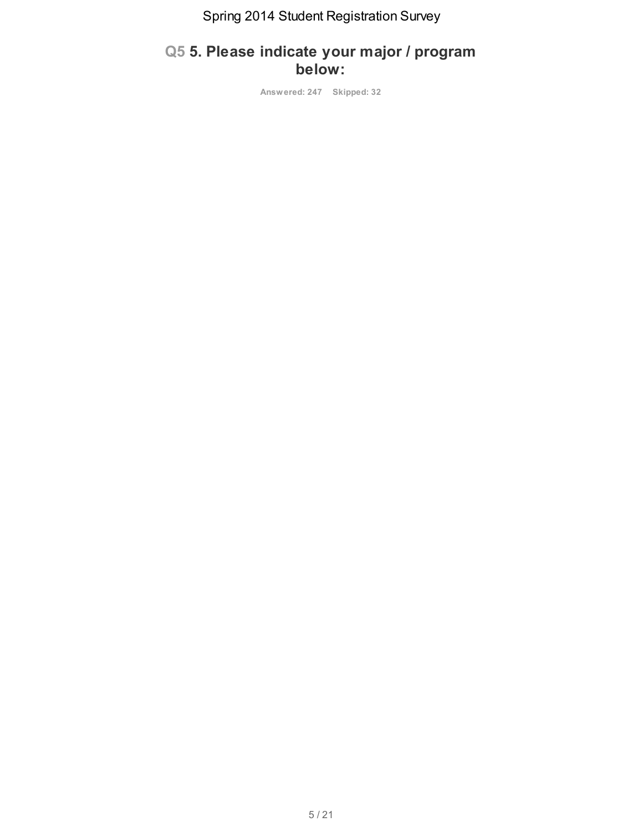#### **Q5 5. Please indicate your major / program below:**

**Answered: 247 Skipped: 32**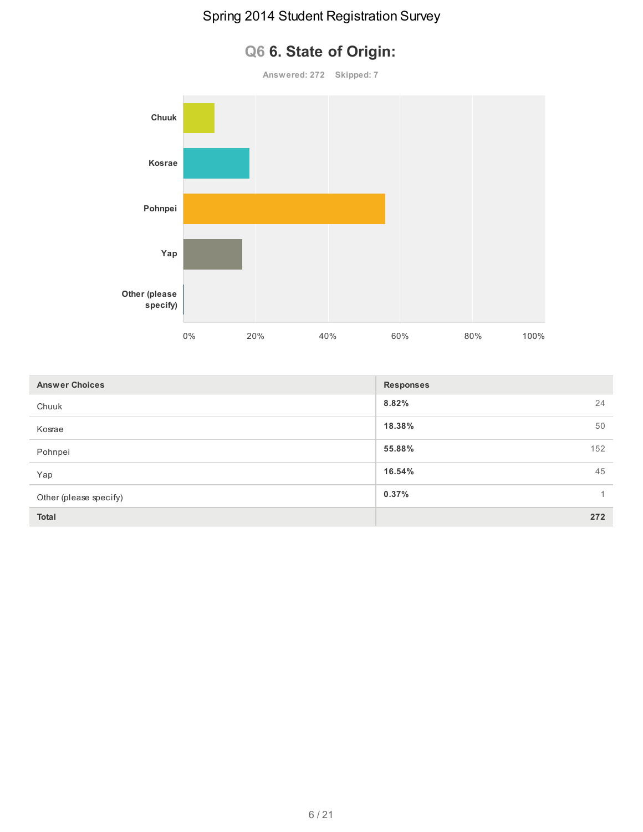# **Q6 6. State of Origin: Answered: 272 Skipped: 7 Chuuk Kosrae Pohnpei Yap Other (please specify)**

| $0\%$ | 20% | 40% | 60% | 80% | 100% |
|-------|-----|-----|-----|-----|------|
|       |     |     |     |     |      |

| <b>Answer Choices</b>  | <b>Responses</b> |
|------------------------|------------------|
| Chuuk                  | 8.82%<br>24      |
| Kosrae                 | 18.38%<br>50     |
| Pohnpei                | 55.88%<br>152    |
| Yap                    | 16.54%<br>45     |
| Other (please specify) | 0.37%            |
| <b>Total</b>           | 272              |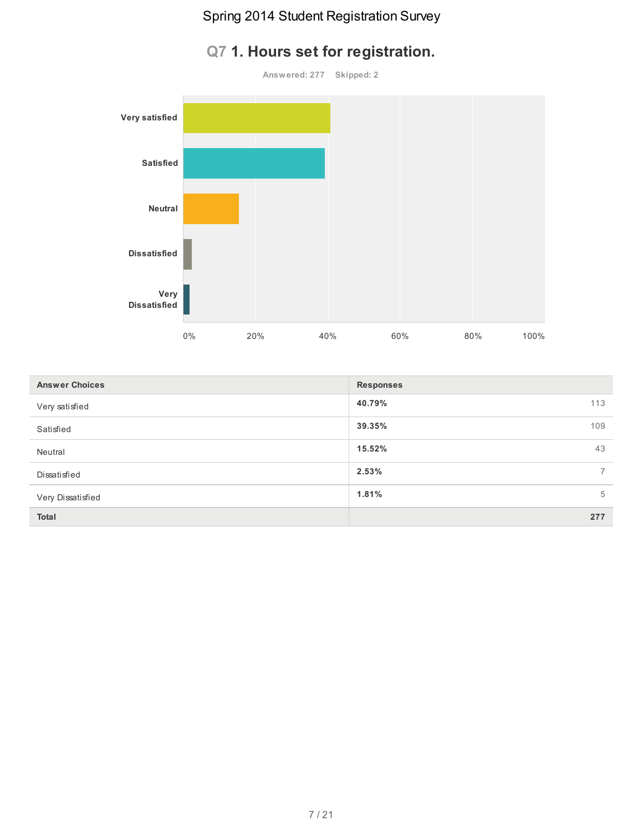# **Q7 1. Hours set for registration.**



| <b>Answer Choices</b> | <b>Responses</b> |                          |
|-----------------------|------------------|--------------------------|
| Very satisfied        | 40.79%           | 113                      |
| Satisfied             | 39.35%           | 109                      |
| Neutral               | 15.52%           | 43                       |
| Dissatisfied          | 2.53%            | $\overline{\phantom{a}}$ |
| Very Dissatisfied     | 1.81%            | 5                        |
| <b>Total</b>          |                  | 277                      |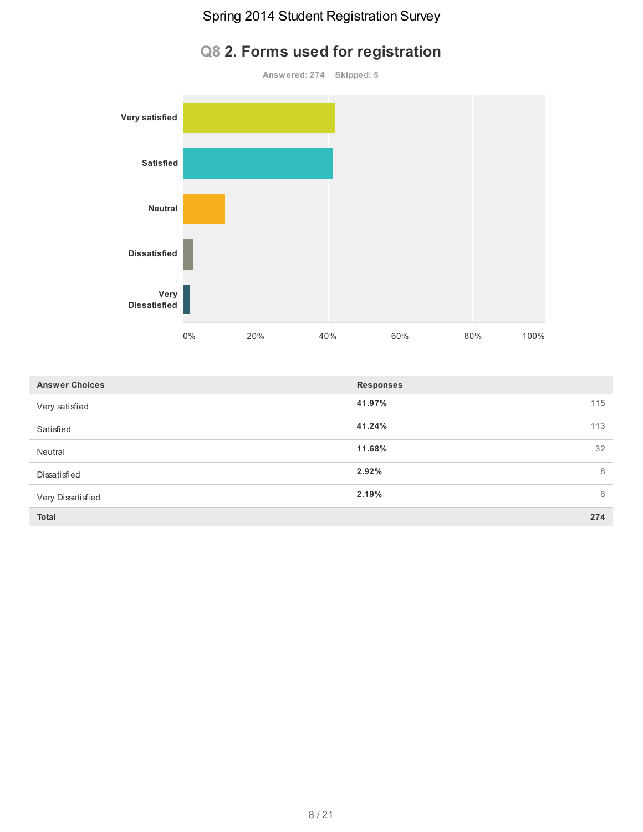# **Q8 2. Forms used for registration**



| <b>Answer Choices</b> | <b>Responses</b> |
|-----------------------|------------------|
| Very satisfied        | 41.97%<br>115    |
| Satisfied             | 41.24%<br>113    |
| Neutral               | 32<br>11.68%     |
| Dissatisfied          | 8<br>2.92%       |
| Very Dissatisfied     | 2.19%<br>6       |
| <b>Total</b>          | 274              |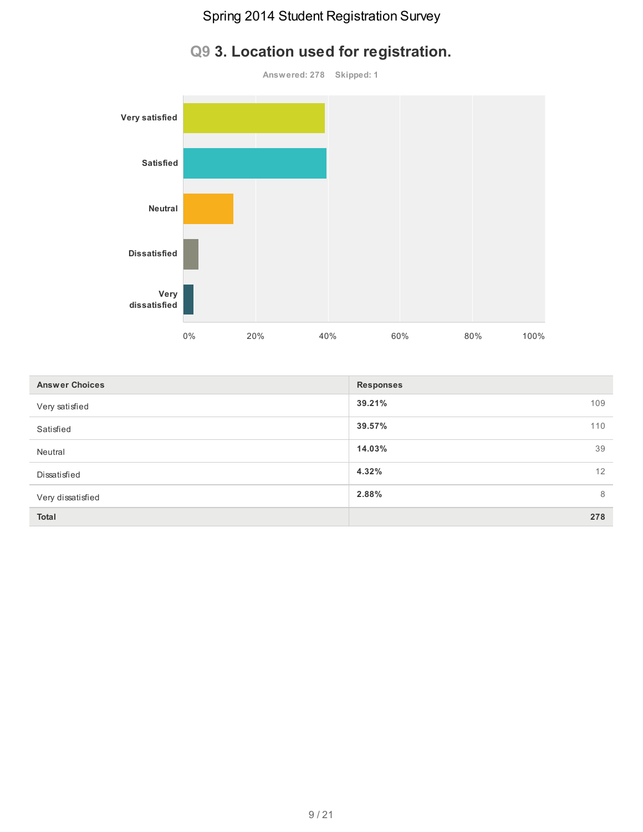# **Answered: 278 Skipped: 1 Very satisfied Satisfied Neutral Dissatisfied Very dissatisfied** 0% 20% 40% 60% 80% 100%

|  |  |  |  |  | Q9 3. Location used for registration. |
|--|--|--|--|--|---------------------------------------|
|--|--|--|--|--|---------------------------------------|

| <b>Answer Choices</b> | <b>Responses</b> |     |
|-----------------------|------------------|-----|
| Very satisfied        | 39.21%           | 109 |
| Satisfied             | 39.57%           | 110 |
| Neutral               | 14.03%           | 39  |
| Dissatisfied          | 4.32%            | 12  |
| Very dissatisfied     | 2.88%            | 8   |
| <b>Total</b>          |                  | 278 |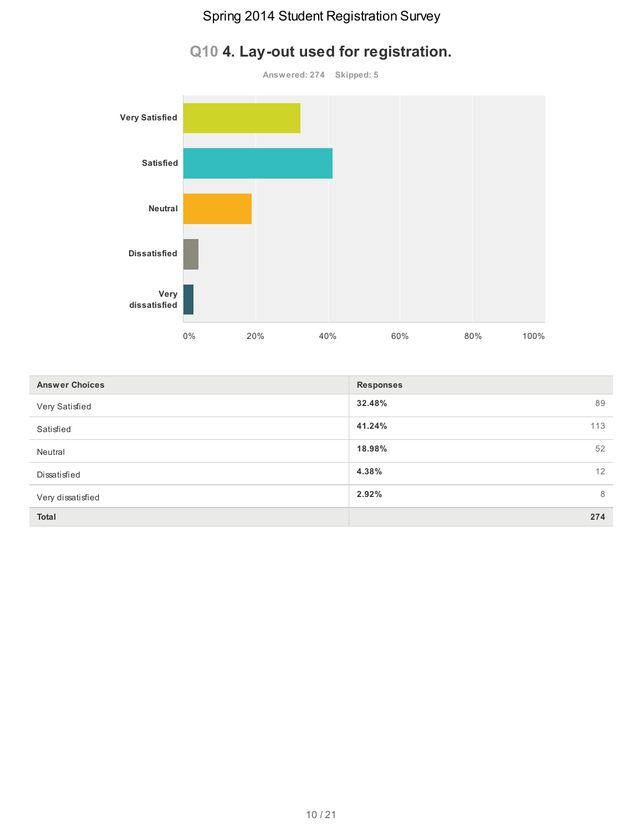

# **Q10 4. Lay-out used for registration.**

| <b>Answer Choices</b> | <b>Responses</b> |
|-----------------------|------------------|
| Very Satisfied        | 32.48%<br>89     |
| Satisfied             | 41.24%<br>113    |
| Neutral               | 18.98%<br>52     |
| Dissatisfied          | 4.38%<br>12      |
| Very dissatisfied     | 2.92%<br>8       |
| Total                 | 274              |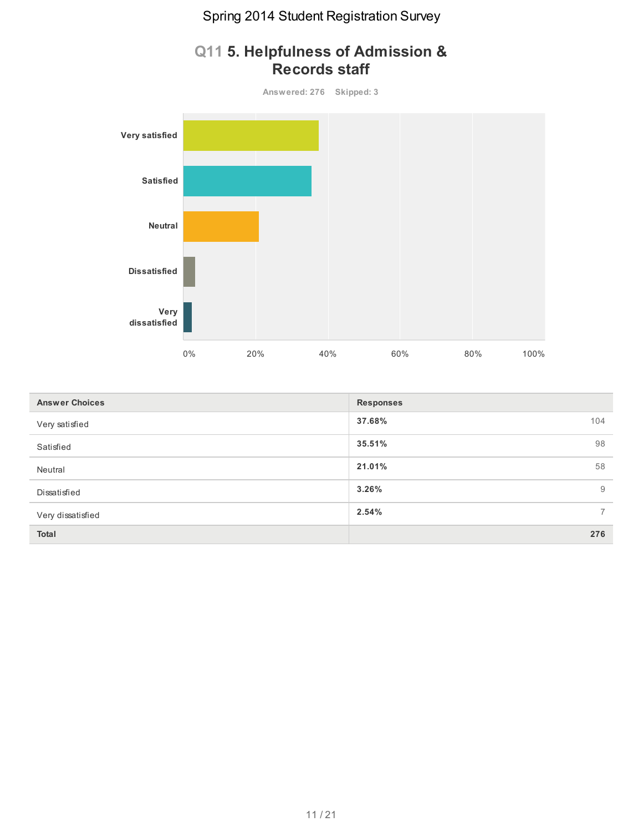

| Q11 5. Helpfulness of Admission & |
|-----------------------------------|
| <b>Records staff</b>              |

| <b>Answer Choices</b> | <b>Responses</b> |     |
|-----------------------|------------------|-----|
| Very satisfied        | 37.68%           | 104 |
| Satisfied             | 35.51%           | 98  |
| Neutral               | 21.01%           | 58  |
| Dissatisfied          | 3.26%            | 9   |
| Very dissatisfied     | 2.54%            | 7   |
| Total                 |                  | 276 |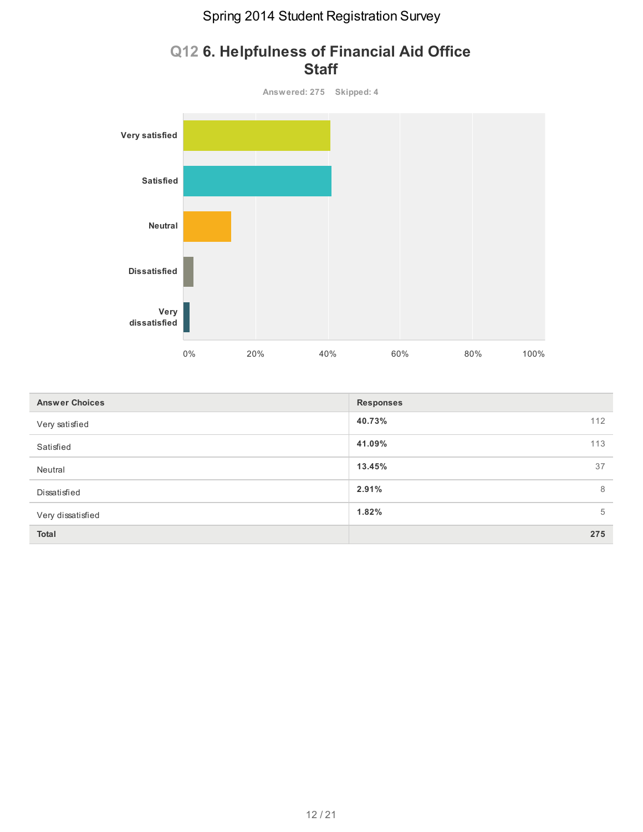

#### **Q12 6. Helpfulness of Financial Aid Office Staff**

| <b>Answer Choices</b> | <b>Responses</b> |     |
|-----------------------|------------------|-----|
| Very satisfied        | 40.73%           | 112 |
| Satisfied             | 41.09%           | 113 |
| Neutral               | 13.45%           | 37  |
| Dissatisfied          | 2.91%            | 8   |
| Very dissatisfied     | 1.82%            | 5   |
| <b>Total</b>          |                  | 275 |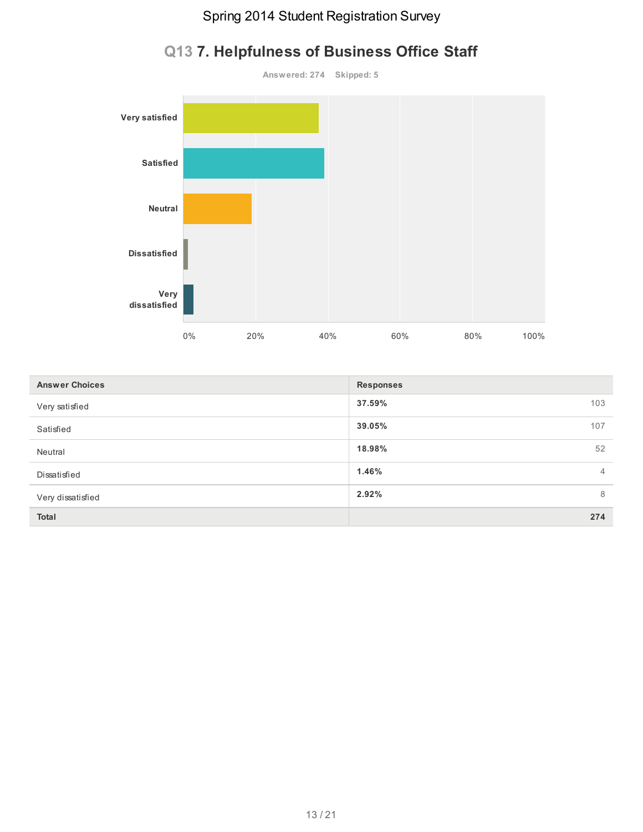

# **Q13 7. Helpfulness of Business Office Staff**

| <b>Answer Choices</b> | <b>Responses</b>        |
|-----------------------|-------------------------|
| Very satisfied        | 37.59%<br>103           |
| Satisfied             | 39.05%<br>107           |
| Neutral               | 18.98%<br>52            |
| Dissatisfied          | 1.46%<br>$\overline{4}$ |
| Very dissatisfied     | 2.92%<br>8              |
| <b>Total</b>          | 274                     |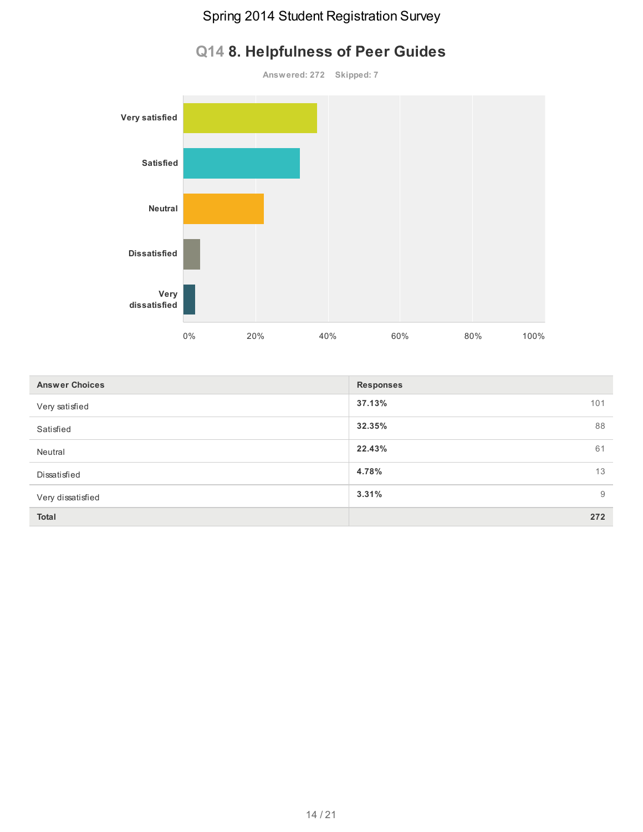# **Answered: 272 Skipped: 7 Very satisfied Satisfied Neutral Dissatisfied Very dissatisfied** 0% 20% 40% 60% 80% 100%

|  | Q14 8. Helpfulness of Peer Guides |  |  |
|--|-----------------------------------|--|--|
|--|-----------------------------------|--|--|

| <b>Answer Choices</b> | <b>Responses</b> |
|-----------------------|------------------|
| Very satisfied        | 37.13%<br>101    |
| Satisfied             | 32.35%<br>88     |
| Neutral               | 22.43%<br>61     |
| Dissatisfied          | 4.78%<br>13      |
| Very dissatisfied     | 3.31%<br>9       |
| Total                 | 272              |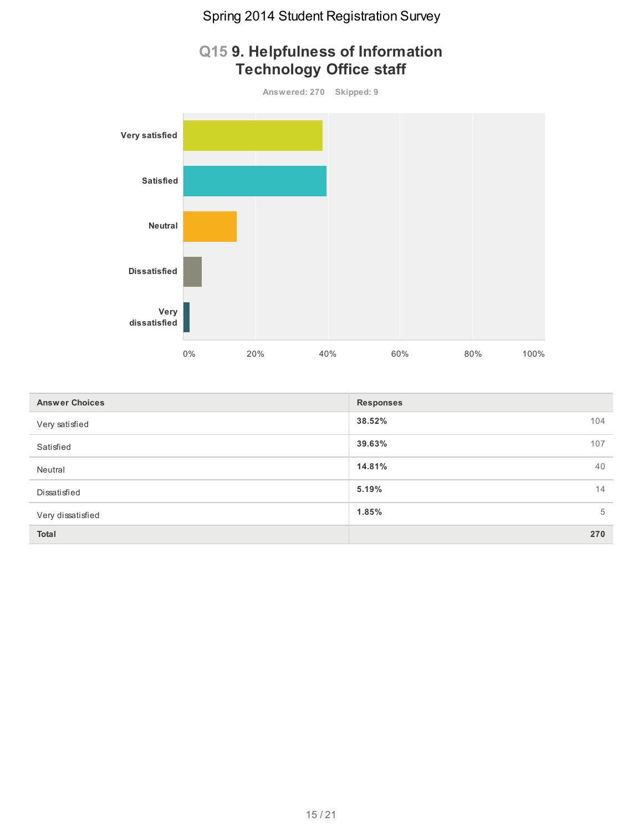

| <b>Answer Choices</b> | <b>Responses</b> |     |
|-----------------------|------------------|-----|
| Very satisfied        | 38.52%           | 104 |
| Satisfied             | 39.63%           | 107 |
| Neutral               | 14.81%           | 40  |
| Dissatisfied          | 5.19%            | 14  |
| Very dissatisfied     | 1.85%            | 5   |
| <b>Total</b>          |                  | 270 |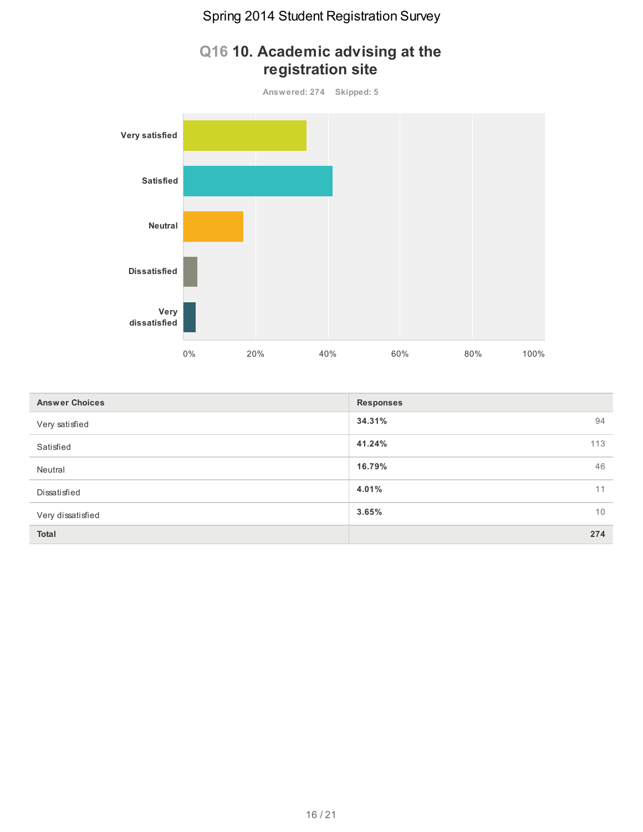

# **Q16 10. Academic advising at the registration site**

| <b>Answer Choices</b> | <b>Responses</b> |     |
|-----------------------|------------------|-----|
| Very satisfied        | 34.31%           | 94  |
| Satisfied             | 41.24%           | 113 |
| Neutral               | 16.79%           | 46  |
| Dissatisfied          | 4.01%            | 11  |
| Very dissatisfied     | 3.65%            | 10  |
| Total                 |                  | 274 |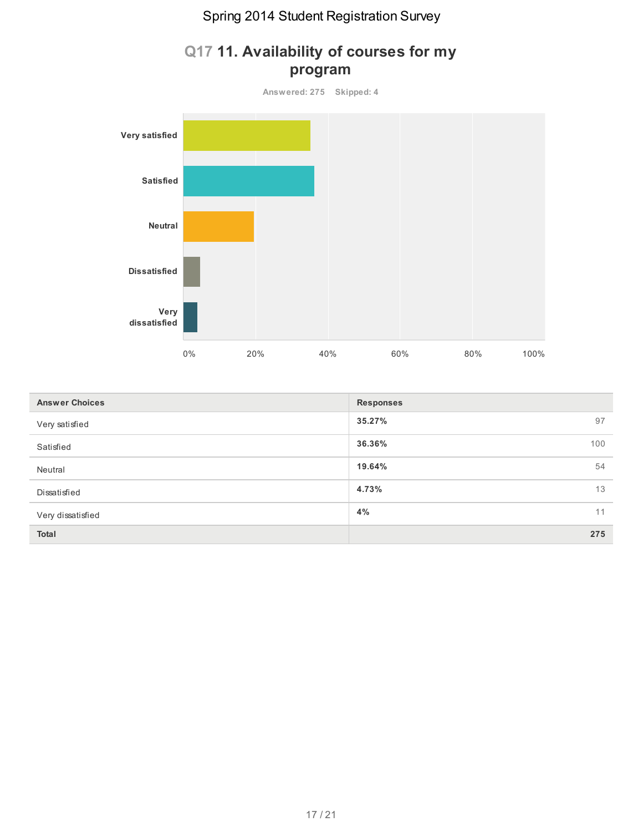

#### **Q17 11. Availability of courses for my program**

| <b>Answer Choices</b> | <b>Responses</b> |     |
|-----------------------|------------------|-----|
| Very satisfied        | 35.27%           | 97  |
| Satisfied             | 36.36%           | 100 |
| Neutral               | 19.64%           | 54  |
| Dissatisfied          | 4.73%            | 13  |
| Very dissatisfied     | 4%               | 11  |
| <b>Total</b>          |                  | 275 |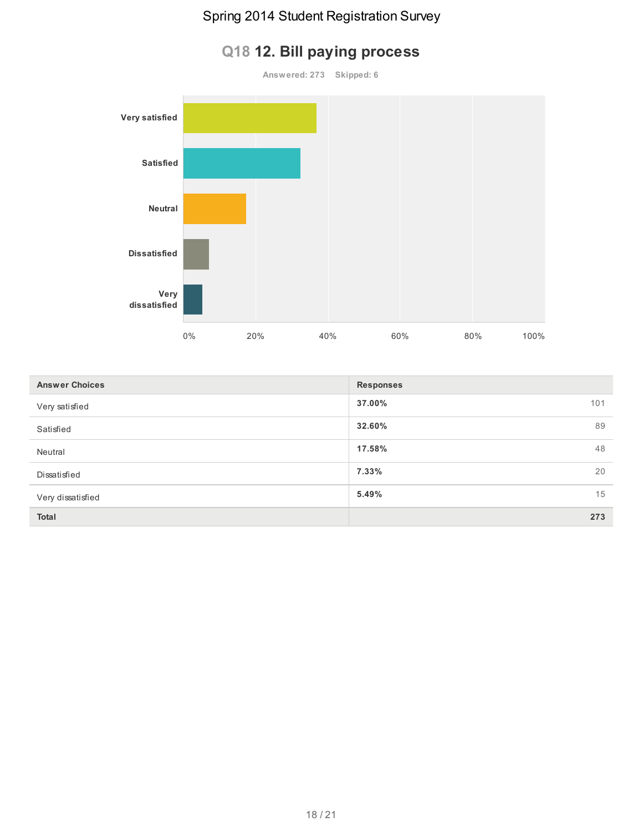# **Answered: 273 Skipped: 6 Very satisfied Satisfied Neutral Dissatisfied Very dissatisfied** 0% 20% 40% 60% 80% 100%

| <b>Answer Choices</b> | <b>Responses</b> |     |
|-----------------------|------------------|-----|
| Very satisfied        | 37.00%           | 101 |
| Satisfied             | 32.60%           | 89  |
| Neutral               | 17.58%           | 48  |
| Dissatisfied          | 7.33%            | 20  |
| Very dissatisfied     | 5.49%            | 15  |
| Total                 |                  | 273 |

# **Q18 12. Bill paying process**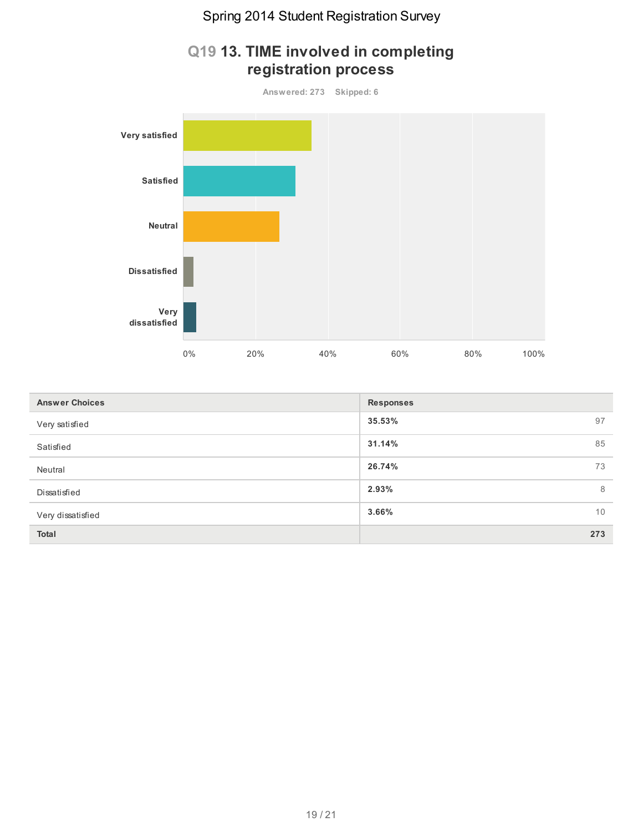

#### **Q19 13. TIME involved in completing registration process**

| <b>Answer Choices</b> | <b>Responses</b> |
|-----------------------|------------------|
| Very satisfied        | 35.53%<br>97     |
| Satisfied             | 31.14%<br>85     |
| Neutral               | 26.74%<br>73     |
| Dissatisfied          | 2.93%<br>8       |
| Very dissatisfied     | 3.66%<br>10      |
| Total                 | 273              |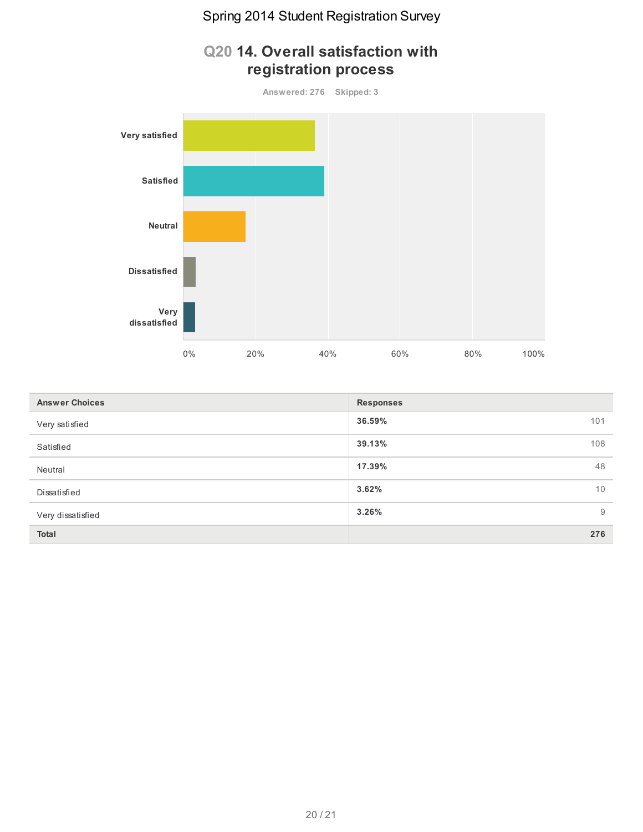

| <b>Answer Choices</b> | <b>Responses</b> |     |
|-----------------------|------------------|-----|
| Very satisfied        | 36.59%           | 101 |
| Satisfied             | 39.13%           | 108 |
| Neutral               | 17.39%           | 48  |
| Dissatisfied          | 3.62%            | 10  |
| Very dissatisfied     | 3.26%            | 9   |
| <b>Total</b>          |                  | 276 |

#### **Q20 14. Overall satisfaction with registration process**